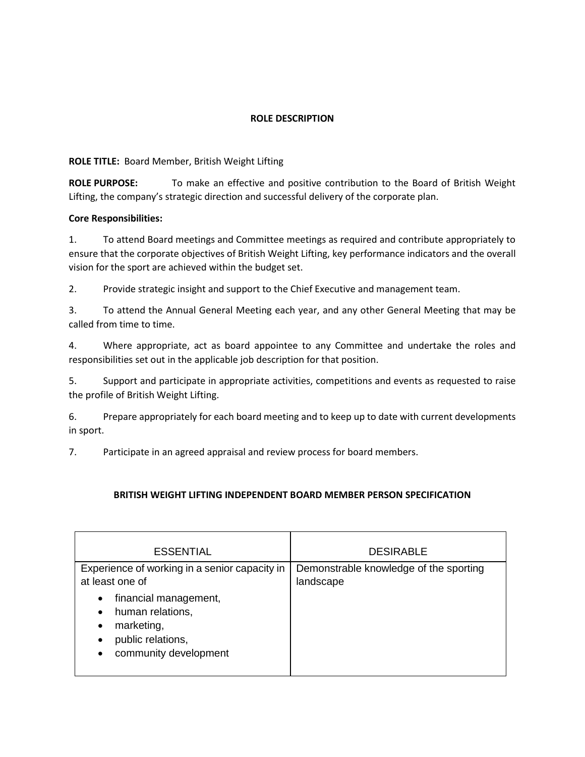## **ROLE DESCRIPTION**

#### **ROLE TITLE:** Board Member, British Weight Lifting

**ROLE PURPOSE:** To make an effective and positive contribution to the Board of British Weight Lifting, the company's strategic direction and successful delivery of the corporate plan.

### **Core Responsibilities:**

1. To attend Board meetings and Committee meetings as required and contribute appropriately to ensure that the corporate objectives of British Weight Lifting, key performance indicators and the overall vision for the sport are achieved within the budget set.

2. Provide strategic insight and support to the Chief Executive and management team.

3. To attend the Annual General Meeting each year, and any other General Meeting that may be called from time to time.

4. Where appropriate, act as board appointee to any Committee and undertake the roles and responsibilities set out in the applicable job description for that position.

5. Support and participate in appropriate activities, competitions and events as requested to raise the profile of British Weight Lifting.

6. Prepare appropriately for each board meeting and to keep up to date with current developments in sport.

7. Participate in an agreed appraisal and review process for board members.

#### **BRITISH WEIGHT LIFTING INDEPENDENT BOARD MEMBER PERSON SPECIFICATION**

| <b>ESSENTIAL</b>                                                                                                                                       | <b>DESIRABLE</b>                                    |
|--------------------------------------------------------------------------------------------------------------------------------------------------------|-----------------------------------------------------|
| Experience of working in a senior capacity in<br>at least one of                                                                                       | Demonstrable knowledge of the sporting<br>landscape |
| financial management,<br>$\bullet$<br>human relations,<br>$\bullet$<br>marketing,<br>٠<br>public relations,<br>٠<br>community development<br>$\bullet$ |                                                     |